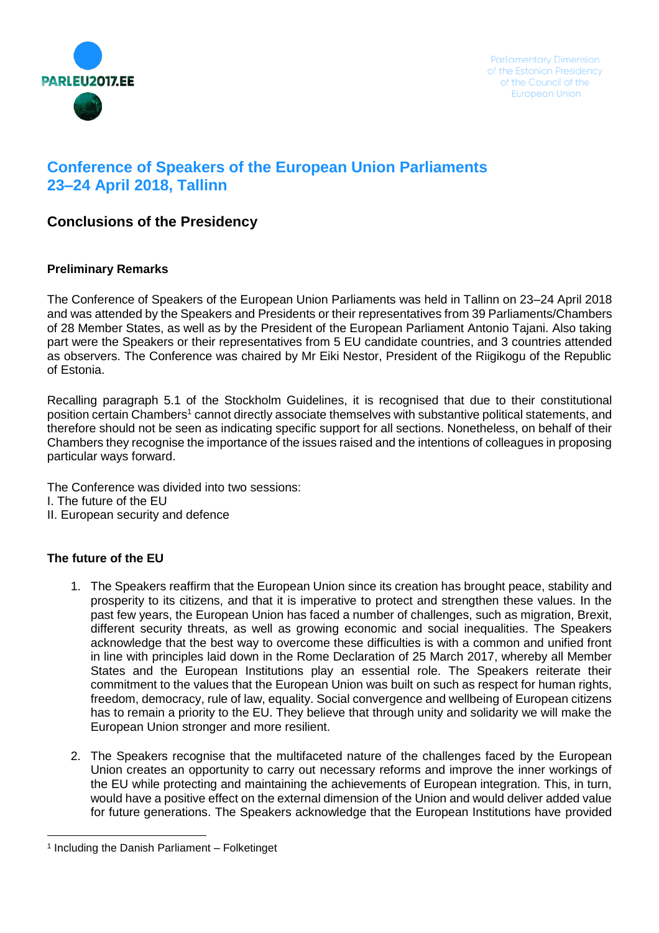

# **Conference of Speakers of the European Union Parliaments 23–24 April 2018, Tallinn**

## **Conclusions of the Presidency**

## **Preliminary Remarks**

The Conference of Speakers of the European Union Parliaments was held in Tallinn on 23–24 April 2018 and was attended by the Speakers and Presidents or their representatives from 39 Parliaments/Chambers of 28 Member States, as well as by the President of the European Parliament Antonio Tajani. Also taking part were the Speakers or their representatives from 5 EU candidate countries, and 3 countries attended as observers. The Conference was chaired by Mr Eiki Nestor, President of the Riigikogu of the Republic of Estonia.

Recalling paragraph 5.1 of the Stockholm Guidelines, it is recognised that due to their constitutional position certain Chambers<sup>1</sup> cannot directly associate themselves with substantive political statements, and therefore should not be seen as indicating specific support for all sections. Nonetheless, on behalf of their Chambers they recognise the importance of the issues raised and the intentions of colleagues in proposing particular ways forward.

The Conference was divided into two sessions: I. The future of the EU II. European security and defence

## **The future of the EU**

 $\overline{a}$ 

- 1. The Speakers reaffirm that the European Union since its creation has brought peace, stability and prosperity to its citizens, and that it is imperative to protect and strengthen these values. In the past few years, the European Union has faced a number of challenges, such as migration, Brexit, different security threats, as well as growing economic and social inequalities. The Speakers acknowledge that the best way to overcome these difficulties is with a common and unified front in line with principles laid down in the Rome Declaration of 25 March 2017, whereby all Member States and the European Institutions play an essential role. The Speakers reiterate their commitment to the values that the European Union was built on such as respect for human rights, freedom, democracy, rule of law, equality. Social convergence and wellbeing of European citizens has to remain a priority to the EU. They believe that through unity and solidarity we will make the European Union stronger and more resilient.
- 2. The Speakers recognise that the multifaceted nature of the challenges faced by the European Union creates an opportunity to carry out necessary reforms and improve the inner workings of the EU while protecting and maintaining the achievements of European integration. This, in turn, would have a positive effect on the external dimension of the Union and would deliver added value for future generations. The Speakers acknowledge that the European Institutions have provided

<sup>1</sup> Including the Danish Parliament – Folketinget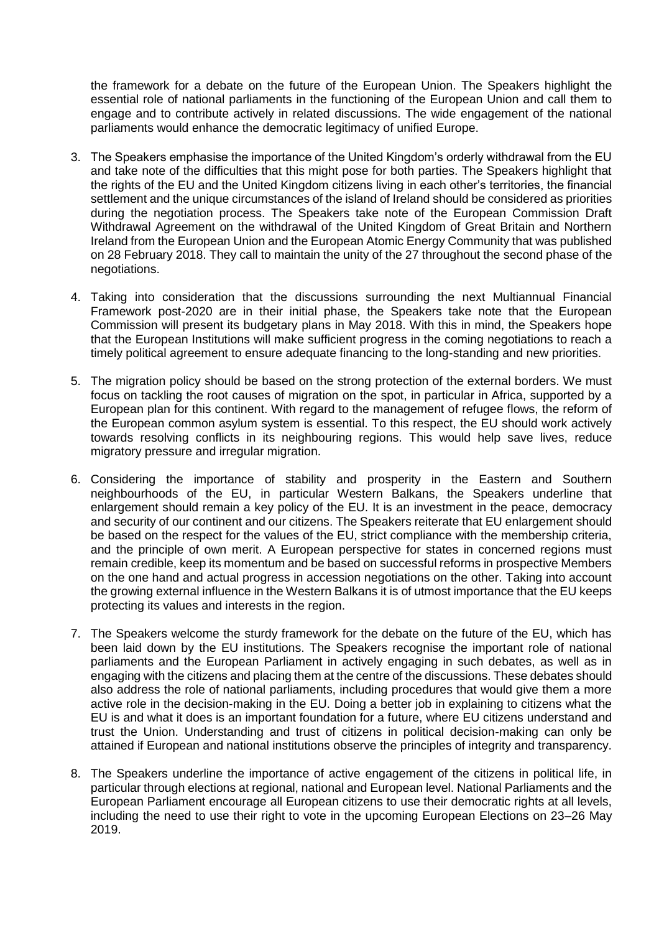the framework for a debate on the future of the European Union. The Speakers highlight the essential role of national parliaments in the functioning of the European Union and call them to engage and to contribute actively in related discussions. The wide engagement of the national parliaments would enhance the democratic legitimacy of unified Europe.

- 3. The Speakers emphasise the importance of the United Kingdom's orderly withdrawal from the EU and take note of the difficulties that this might pose for both parties. The Speakers highlight that the rights of the EU and the United Kingdom citizens living in each other's territories, the financial settlement and the unique circumstances of the island of Ireland should be considered as priorities during the negotiation process. The Speakers take note of the European Commission Draft Withdrawal Agreement on the withdrawal of the United Kingdom of Great Britain and Northern Ireland from the European Union and the European Atomic Energy Community that was published on 28 February 2018. They call to maintain the unity of the 27 throughout the second phase of the negotiations.
- 4. Taking into consideration that the discussions surrounding the next Multiannual Financial Framework post-2020 are in their initial phase, the Speakers take note that the European Commission will present its budgetary plans in May 2018. With this in mind, the Speakers hope that the European Institutions will make sufficient progress in the coming negotiations to reach a timely political agreement to ensure adequate financing to the long-standing and new priorities.
- 5. The migration policy should be based on the strong protection of the external borders. We must focus on tackling the root causes of migration on the spot, in particular in Africa, supported by a European plan for this continent. With regard to the management of refugee flows, the reform of the European common asylum system is essential. To this respect, the EU should work actively towards resolving conflicts in its neighbouring regions. This would help save lives, reduce migratory pressure and irregular migration.
- 6. Considering the importance of stability and prosperity in the Eastern and Southern neighbourhoods of the EU, in particular Western Balkans, the Speakers underline that enlargement should remain a key policy of the EU. It is an investment in the peace, democracy and security of our continent and our citizens. The Speakers reiterate that EU enlargement should be based on the respect for the values of the EU, strict compliance with the membership criteria, and the principle of own merit. A European perspective for states in concerned regions must remain credible, keep its momentum and be based on successful reforms in prospective Members on the one hand and actual progress in accession negotiations on the other. Taking into account the growing external influence in the Western Balkans it is of utmost importance that the EU keeps protecting its values and interests in the region.
- 7. The Speakers welcome the sturdy framework for the debate on the future of the EU, which has been laid down by the EU institutions. The Speakers recognise the important role of national parliaments and the European Parliament in actively engaging in such debates, as well as in engaging with the citizens and placing them at the centre of the discussions. These debates should also address the role of national parliaments, including procedures that would give them a more active role in the decision-making in the EU. Doing a better job in explaining to citizens what the EU is and what it does is an important foundation for a future, where EU citizens understand and trust the Union. Understanding and trust of citizens in political decision-making can only be attained if European and national institutions observe the principles of integrity and transparency.
- 8. The Speakers underline the importance of active engagement of the citizens in political life, in particular through elections at regional, national and European level. National Parliaments and the European Parliament encourage all European citizens to use their democratic rights at all levels, including the need to use their right to vote in the upcoming European Elections on 23–26 May 2019.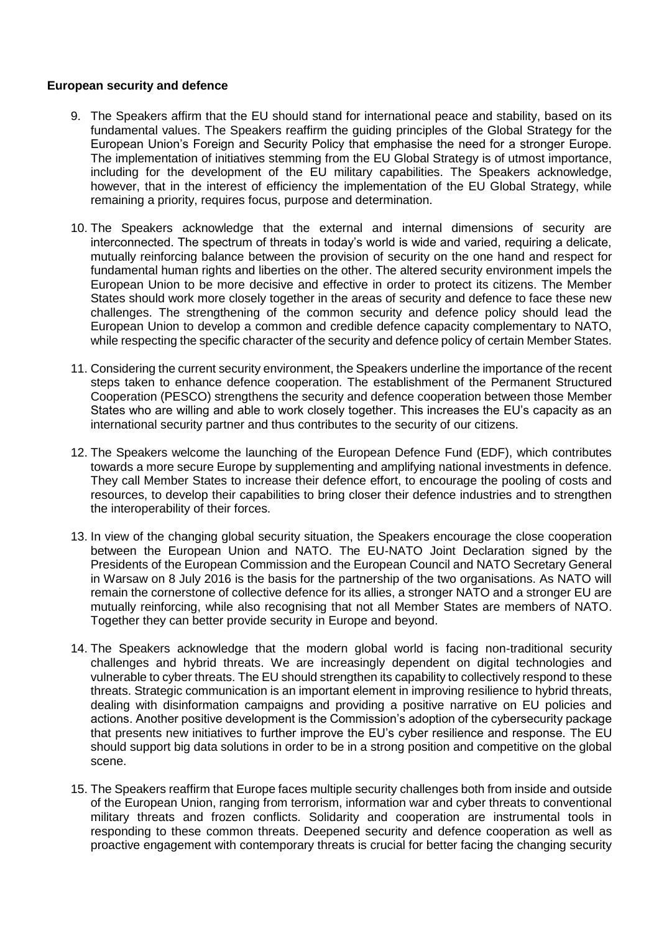### **European security and defence**

- 9. The Speakers affirm that the EU should stand for international peace and stability, based on its fundamental values. The Speakers reaffirm the guiding principles of the Global Strategy for the European Union's Foreign and Security Policy that emphasise the need for a stronger Europe. The implementation of initiatives stemming from the EU Global Strategy is of utmost importance, including for the development of the EU military capabilities. The Speakers acknowledge, however, that in the interest of efficiency the implementation of the EU Global Strategy, while remaining a priority, requires focus, purpose and determination.
- 10. The Speakers acknowledge that the external and internal dimensions of security are interconnected. The spectrum of threats in today's world is wide and varied, requiring a delicate, mutually reinforcing balance between the provision of security on the one hand and respect for fundamental human rights and liberties on the other. The altered security environment impels the European Union to be more decisive and effective in order to protect its citizens. The Member States should work more closely together in the areas of security and defence to face these new challenges. The strengthening of the common security and defence policy should lead the European Union to develop a common and credible defence capacity complementary to NATO, while respecting the specific character of the security and defence policy of certain Member States.
- 11. Considering the current security environment, the Speakers underline the importance of the recent steps taken to enhance defence cooperation. The establishment of the Permanent Structured Cooperation (PESCO) strengthens the security and defence cooperation between those Member States who are willing and able to work closely together. This increases the EU's capacity as an international security partner and thus contributes to the security of our citizens.
- 12. The Speakers welcome the launching of the European Defence Fund (EDF), which contributes towards a more secure Europe by supplementing and amplifying national investments in defence. They call Member States to increase their defence effort, to encourage the pooling of costs and resources, to develop their capabilities to bring closer their defence industries and to strengthen the interoperability of their forces.
- 13. In view of the changing global security situation, the Speakers encourage the close cooperation between the European Union and NATO. The EU-NATO Joint Declaration signed by the Presidents of the European Commission and the European Council and NATO Secretary General in Warsaw on 8 July 2016 is the basis for the partnership of the two organisations. As NATO will remain the cornerstone of collective defence for its allies, a stronger NATO and a stronger EU are mutually reinforcing, while also recognising that not all Member States are members of NATO. Together they can better provide security in Europe and beyond.
- 14. The Speakers acknowledge that the modern global world is facing non-traditional security challenges and hybrid threats. We are increasingly dependent on digital technologies and vulnerable to cyber threats. The EU should strengthen its capability to collectively respond to these threats. Strategic communication is an important element in improving resilience to hybrid threats, dealing with disinformation campaigns and providing a positive narrative on EU policies and actions. Another positive development is the Commission's adoption of the cybersecurity package that presents new initiatives to further improve the EU's cyber resilience and response. The EU should support big data solutions in order to be in a strong position and competitive on the global scene.
- 15. The Speakers reaffirm that Europe faces multiple security challenges both from inside and outside of the European Union, ranging from terrorism, information war and cyber threats to conventional military threats and frozen conflicts. Solidarity and cooperation are instrumental tools in responding to these common threats. Deepened security and defence cooperation as well as proactive engagement with contemporary threats is crucial for better facing the changing security